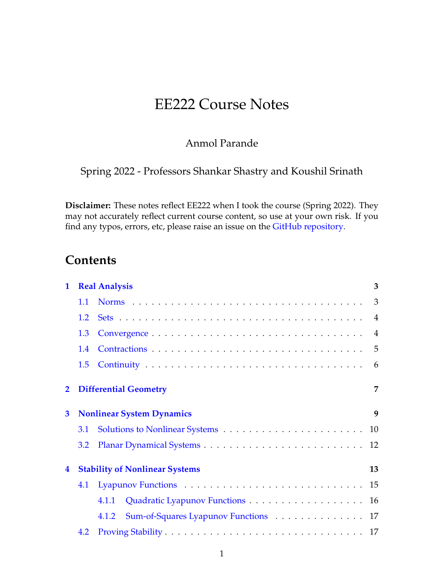# EE222 Course Notes

## Anmol Parande

Spring 2022 - Professors Shankar Shastry and Koushil Srinath

**Disclaimer:** These notes reflect EE222 when I took the course (Spring 2022). They may not accurately reflect current course content, so use at your own risk. If you find any typos, errors, etc, please raise an issue on the [GitHub repository.](https://github.com/parandea17/BerkeleyNotes)

## **Contents**

| $\mathbf{1}$                                                     | <b>Real Analysis</b> |                                               |    |  |  |
|------------------------------------------------------------------|----------------------|-----------------------------------------------|----|--|--|
|                                                                  | 1.1                  |                                               |    |  |  |
|                                                                  | 1.2                  |                                               |    |  |  |
|                                                                  | 1.3                  |                                               |    |  |  |
|                                                                  | 1.4                  |                                               |    |  |  |
|                                                                  | 1.5                  |                                               | 6  |  |  |
| $\mathbf{2}$                                                     |                      | 7<br><b>Differential Geometry</b>             |    |  |  |
| 3                                                                |                      | <b>Nonlinear System Dynamics</b>              | 9  |  |  |
|                                                                  | <b>3.1</b>           |                                               |    |  |  |
|                                                                  | 3.2                  |                                               |    |  |  |
| <b>Stability of Nonlinear Systems</b><br>$\overline{\mathbf{4}}$ |                      |                                               | 13 |  |  |
|                                                                  | 4.1                  |                                               |    |  |  |
|                                                                  |                      | Quadratic Lyapunov Functions 16<br>4.1.1      |    |  |  |
|                                                                  |                      | Sum-of-Squares Lyapunov Functions 17<br>4.1.2 |    |  |  |
|                                                                  | 4.2                  |                                               |    |  |  |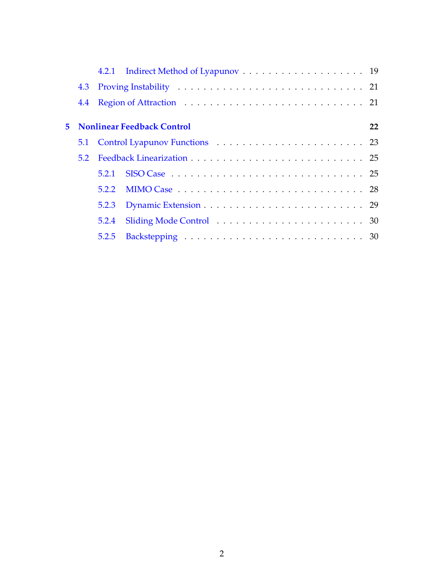|    | 4.4 |       |                                                                                      |    |  |
|----|-----|-------|--------------------------------------------------------------------------------------|----|--|
|    |     |       |                                                                                      |    |  |
| 5. |     |       | <b>Nonlinear Feedback Control</b>                                                    | 22 |  |
|    |     |       |                                                                                      |    |  |
|    | 5.2 |       |                                                                                      |    |  |
|    |     | 5.2.1 | SISO Case $\ldots \ldots \ldots \ldots \ldots \ldots \ldots \ldots \ldots \ldots 25$ |    |  |
|    |     | 5.2.2 |                                                                                      |    |  |
|    |     | 5.2.3 |                                                                                      |    |  |
|    |     | 5.2.4 |                                                                                      |    |  |
|    |     | 5.2.5 |                                                                                      |    |  |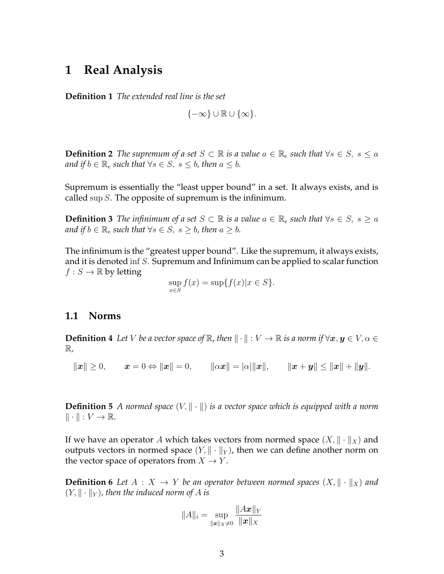## <span id="page-2-0"></span>**1 Real Analysis**

**Definition 1** *The extended real line is the set*

 ${-\infty} \cup \mathbb{R} \cup {\infty}$ .

**Definition 2** *The supremum of a set*  $S \subset \mathbb{R}$  *is a value*  $a \in \mathbb{R}_e$  *such that*  $\forall s \in S$ ,  $s \leq a$ *and if*  $b \in \mathbb{R}_e$  *such that*  $\forall s \in S$ ,  $s \leq b$ , then  $a \leq b$ .

Supremum is essentially the "least upper bound" in a set. It always exists, and is called sup  $S$ . The opposite of supremum is the infinimum.

**Definition 3** *The infinimum of a set*  $S \subset \mathbb{R}$  *is a value*  $a \in \mathbb{R}$ *e such that*  $\forall s \in S$ ,  $s > a$ *and if*  $b \in \mathbb{R}_e$  *such that*  $\forall s \in S$ *,*  $s \geq b$ *, then*  $a \geq b$ *.* 

The infinimum is the "greatest upper bound". Like the supremum, it always exists, and it is denoted inf S. Supremum and Infinimum can be applied to scalar function  $f : S \to \mathbb{R}$  by letting

$$
\sup_{x \in S} f(x) = \sup \{ f(x) | x \in S \}.
$$

### <span id="page-2-1"></span>**1.1 Norms**

**Definition 4** Let V be a vector space of  $\mathbb{R}$ , then  $\|\cdot\|: V \to \mathbb{R}$  is a norm if  $\forall x, y \in V, \alpha \in$ R*,*

 $\|\boldsymbol{x}\| \geq 0, \qquad \boldsymbol{x} = 0 \Leftrightarrow \|\boldsymbol{x}\| = 0, \qquad \|\alpha \boldsymbol{x}\| = |\alpha| \|\boldsymbol{x}\|, \qquad \|\boldsymbol{x} + \boldsymbol{y}\| \leq \|\boldsymbol{x}\| + \|\boldsymbol{y}\|.$ 

**Definition 5** *A normed space*  $(V, \|\cdot\|)$  *is a vector space which is equipped with a norm*  $\|\cdot\| : V \to \mathbb{R}$ .

If we have an operator A which takes vectors from normed space  $(X, \|\cdot\|_X)$  and outputs vectors in normed space  $(Y, \|\cdot\|_Y)$ , then we can define another norm on the vector space of operators from  $X \to Y$ .

**Definition 6** Let  $A: X \rightarrow Y$  be an operator between normed spaces  $(X, \|\cdot\|_X)$  and  $(Y, \|\cdot\|_Y)$ , then the induced norm of A is

$$
||A||_i = \sup_{||\bm{x}||_X \neq 0} \frac{||A\bm{x}||_Y}{||\bm{x}||_X}
$$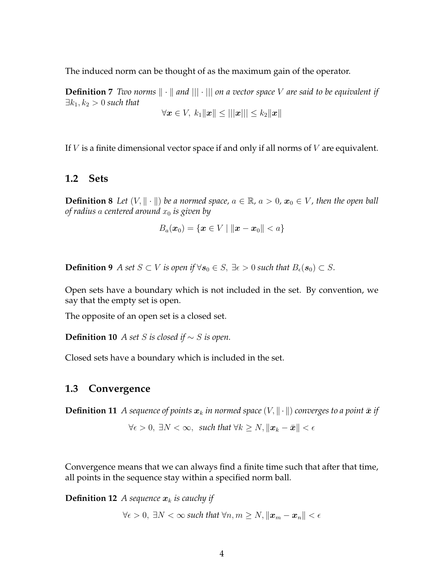The induced norm can be thought of as the maximum gain of the operator.

**Definition 7** *Two norms*  $\|\cdot\|$  *and*  $\|\cdot\|$  *on a vector space* V *are said to be equivalent if*  $\exists k_1, k_2 > 0$  *such that* 

$$
\forall \boldsymbol{x} \in V, \ k_1\|\boldsymbol{x}\| \leq |||\boldsymbol{x}||| \leq k_2\|\boldsymbol{x}\|
$$

If  $V$  is a finite dimensional vector space if and only if all norms of  $V$  are equivalent.

### <span id="page-3-0"></span>**1.2 Sets**

**Definition 8** *Let*  $(V, \|\cdot\|)$  *be a normed space,*  $a \in \mathbb{R}$ *,*  $a > 0$ *,*  $x_0 \in V$ *, then the open ball of radius* a *centered around* x<sup>0</sup> *is given by*

$$
B_a(\boldsymbol{x}_0) = \{\boldsymbol{x} \in V \mid \|\boldsymbol{x} - \boldsymbol{x}_0\| < a\}
$$

**Definition 9** *A set S* ⊂ *V is open if*  $\forall$  *s*<sub>0</sub> ∈ *S*, ∃ $\epsilon$  > 0 *such that*  $B_{\epsilon}(s_0) \subset S$ *.* 

Open sets have a boundary which is not included in the set. By convention, we say that the empty set is open.

The opposite of an open set is a closed set.

**Definition 10** *A set S is closed if*  $\sim$  *S is open.* 

Closed sets have a boundary which is included in the set.

### <span id="page-3-1"></span>**1.3 Convergence**

**Definition 11** *A sequence of points*  $x_k$  *in normed space*  $(V, \|\cdot\|)$  *converges to a point*  $\bar{x}$  *if* 

$$
\forall \epsilon > 0, \ \exists N < \infty, \ \text{ such that } \forall k \ge N, \|\boldsymbol{x}_k - \bar{\boldsymbol{x}}\| < \epsilon
$$

Convergence means that we can always find a finite time such that after that time, all points in the sequence stay within a specified norm ball.

**Definition 12** *A sequence*  $x_k$  *is cauchy if* 

$$
\forall \epsilon > 0, \ \exists N < \infty \ such \ that \ \forall n,m \geq N, \|\boldsymbol{x}_m - \boldsymbol{x}_n\| < \epsilon
$$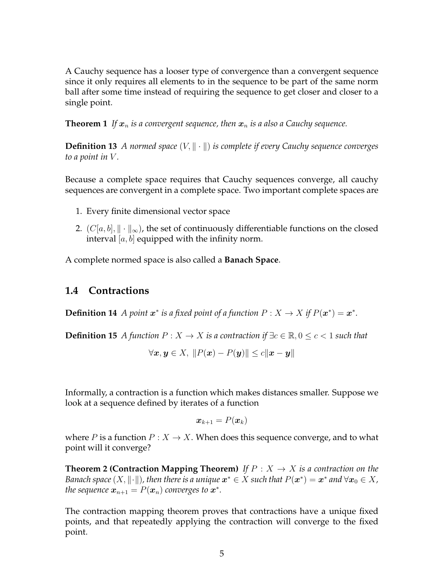A Cauchy sequence has a looser type of convergence than a convergent sequence since it only requires all elements to in the sequence to be part of the same norm ball after some time instead of requiring the sequence to get closer and closer to a single point.

**Theorem 1** *If*  $x_n$  *is a convergent sequence, then*  $x_n$  *is a also a Cauchy sequence.* 

**Definition 13** *A normed space*  $(V, \| \cdot \|)$  *is complete if every Cauchy sequence converges to a point in* V *.*

Because a complete space requires that Cauchy sequences converge, all cauchy sequences are convergent in a complete space. Two important complete spaces are

- 1. Every finite dimensional vector space
- 2.  $(C[a, b], \|\cdot\|_{\infty})$ , the set of continuously differentiable functions on the closed interval  $[a, b]$  equipped with the infinity norm.

A complete normed space is also called a **Banach Space**.

## <span id="page-4-0"></span>**1.4 Contractions**

**Definition 14** *A point*  $x^*$  *is a fixed point of a function*  $P: X \to X$  *if*  $P(x^*) = x^*$ *.* 

**Definition 15** *A* function  $P: X \to X$  is a contraction if  $\exists c \in \mathbb{R}, 0 \le c < 1$  such that

$$
\forall \mathbf{x}, \mathbf{y} \in X, \ \|P(\mathbf{x}) - P(\mathbf{y})\| \le c \|\mathbf{x} - \mathbf{y}\|
$$

Informally, a contraction is a function which makes distances smaller. Suppose we look at a sequence defined by iterates of a function

<span id="page-4-1"></span>
$$
\boldsymbol{x}_{k+1} = P(\boldsymbol{x}_k)
$$

where P is a function  $P: X \to X$ . When does this sequence converge, and to what point will it converge?

**Theorem 2 (Contraction Mapping Theorem)** *If*  $P: X \rightarrow X$  *is a contraction on the Banach space*  $(X, \|\cdot\|)$ , then there is a unique  $\boldsymbol{x}^* \in X$  such that  $P(\boldsymbol{x}^*) = \boldsymbol{x}^*$  and  $\forall \boldsymbol{x}_0 \in X$ , *the sequence*  $x_{n+1} = P(x_n)$  *converges to*  $x^*$ *.* 

The contraction mapping theorem proves that contractions have a unique fixed points, and that repeatedly applying the contraction will converge to the fixed point.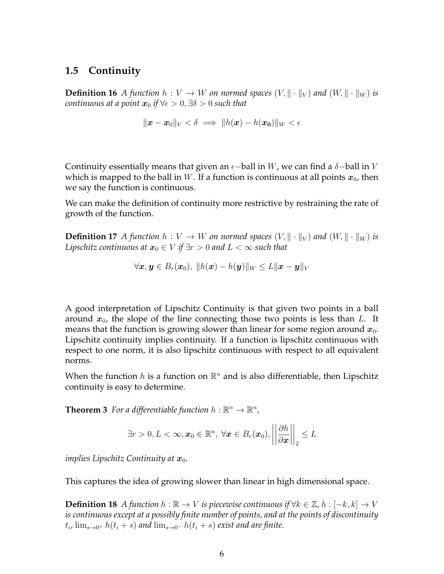## <span id="page-5-0"></span>**1.5 Continuity**

**Definition 16** *A* function  $h: V \to W$  on normed spaces  $(V, \|\cdot\|_V)$  and  $(W, \|\cdot\|_W)$  is *continuous at a point*  $x_0$  *if*  $\forall \epsilon > 0, \exists \delta > 0$  *such that* 

$$
\|\boldsymbol{x} - \boldsymbol{x}_0\|_V < \delta \implies \|h(\boldsymbol{x}) - h(\boldsymbol{x_0})\|_W < \epsilon
$$

Continuity essentially means that given an  $\epsilon$ -ball in W, we can find a  $\delta$ -ball in V which is mapped to the ball in W. If a function is continuous at all points  $x_0$ , then we say the function is continuous.

We can make the definition of continuity more restrictive by restraining the rate of growth of the function.

**Definition 17** *A* function  $h: V \to W$  on normed spaces  $(V, \|\cdot\|_V)$  and  $(W, \|\cdot\|_W)$  is *Lipschitz continuous at*  $x_0 \in V$  *if*  $\exists r > 0$  *and*  $L < \infty$  *such that* 

$$
\forall \boldsymbol{x}, \boldsymbol{y} \in B_r(\boldsymbol{x}_0), \; \|h(\boldsymbol{x}) - h(\boldsymbol{y})\|_W \leq L \|\boldsymbol{x} - \boldsymbol{y}\|_V
$$

A good interpretation of Lipschitz Continuity is that given two points in a ball around  $x_0$ , the slope of the line connecting those two points is less than L. It means that the function is growing slower than linear for some region around  $x_0$ . Lipschitz continuity implies continuity. If a function is lipschitz continuous with respect to one norm, it is also lipschitz continuous with respect to all equivalent norms.

When the function  $h$  is a function on  $\mathbb{R}^n$  and is also differentiable, then Lipschitz continuity is easy to determine.

**Theorem 3** For a differentiable function  $h : \mathbb{R}^n \to \mathbb{R}^n$ ,

$$
\exists r > 0, L < \infty, \boldsymbol{x}_0 \in \mathbb{R}^n, \ \forall \boldsymbol{x} \in B_r(\boldsymbol{x}_0), \left\| \frac{\partial h}{\partial \boldsymbol{x}} \right\|_2 \leq L
$$

*implies Lipschitz Continuity at*  $x_0$ *.* 

This captures the idea of growing slower than linear in high dimensional space.

**Definition 18** *A* function  $h$  :  $\mathbb{R} \to V$  is piecewise continuous if  $\forall k \in \mathbb{Z}$ ,  $h$  :  $[-k, k] \to V$ *is continuous except at a possibly finite number of points, and at the points of discontinuity*  $t_i$ ,  $\lim_{s\to 0^+} h(t_i+s)$  and  $\lim_{s\to 0^-} h(t_i+s)$  exist and are finite.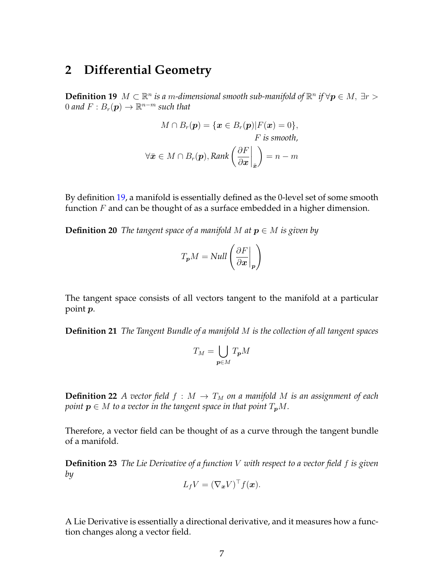## <span id="page-6-0"></span>**2 Differential Geometry**

<span id="page-6-1"></span>**Definition 19**  $M \subset \mathbb{R}^n$  is a m-dimensional smooth sub-manifold of  $\mathbb{R}^n$  if  $\forall p \in M$ ,  $\exists r >$  $0$  and  $F : B_r(\boldsymbol{p}) \to \mathbb{R}^{n-m}$  such that

$$
M \cap B_r(\mathbf{p}) = \{ \mathbf{x} \in B_r(\mathbf{p}) | F(\mathbf{x}) = 0 \},
$$
  
*F* is smooth,  

$$
\forall \bar{\mathbf{x}} \in M \cap B_r(\mathbf{p}), \text{Rank}\left(\frac{\partial F}{\partial \mathbf{x}}\Big|_{\bar{\mathbf{x}}}\right) = n - m
$$

By definition [19,](#page-6-1) a manifold is essentially defined as the 0-level set of some smooth function  $F$  and can be thought of as a surface embedded in a higher dimension.

**Definition 20** *The tangent space of a manifold M* at  $p \in M$  *is given by* 

$$
T_{p}M = Null \left( \frac{\partial F}{\partial \boldsymbol{x}} \bigg|_{\boldsymbol{p}} \right)
$$

The tangent space consists of all vectors tangent to the manifold at a particular point p.

**Definition 21** *The Tangent Bundle of a manifold* M *is the collection of all tangent spaces*

$$
T_M=\bigcup_{\bm p\in M}T_{\bm p}M
$$

**Definition 22** *A vector field*  $f : M \to T_M$  *on a manifold M is an assignment of each point*  $p \in M$  *to a vector in the tangent space in that point*  $T_pM$ *.* 

Therefore, a vector field can be thought of as a curve through the tangent bundle of a manifold.

**Definition 23** *The Lie Derivative of a function* V *with respect to a vector field* f *is given by*

$$
L_f V = (\nabla_{\boldsymbol{x}} V)^{\top} f(\boldsymbol{x}).
$$

A Lie Derivative is essentially a directional derivative, and it measures how a function changes along a vector field.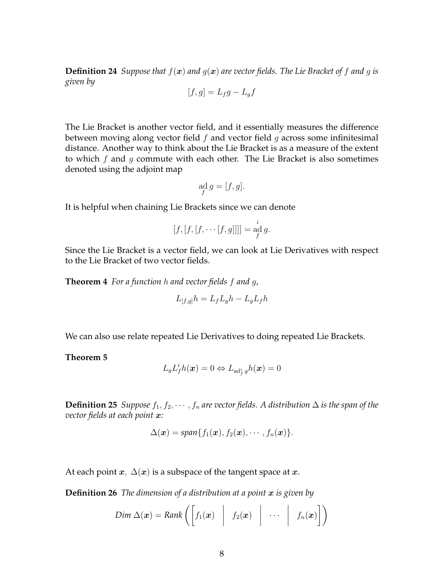**Definition 24** *Suppose that*  $f(x)$  *and*  $g(x)$  *are vector fields. The Lie Bracket of*  $f$  *and*  $g$  *is given by*

$$
[f,g] = L_f g - L_g f
$$

The Lie Bracket is another vector field, and it essentially measures the difference between moving along vector field  $f$  and vector field  $g$  across some infinitesimal distance. Another way to think about the Lie Bracket is as a measure of the extent to which  $f$  and  $g$  commute with each other. The Lie Bracket is also sometimes denoted using the adjoint map

$$
\operatorname*{ad}_{f} g = [f, g].
$$

It is helpful when chaining Lie Brackets since we can denote

$$
[f, [f, [f, \cdots [f, g]]]] = \operatorname*{ad}_f^i g.
$$

Since the Lie Bracket is a vector field, we can look at Lie Derivatives with respect to the Lie Bracket of two vector fields.

**Theorem 4** *For a function* h *and vector fields* f *and* g*,*

$$
L_{[f,g]}h = L_f L_g h - L_g L_f h
$$

We can also use relate repeated Lie Derivatives to doing repeated Lie Brackets.

**Theorem 5**

$$
L_gL_f^ih(\boldsymbol{x})=0 \Leftrightarrow L_{\mathrm{ad}_f^ig}h(\boldsymbol{x})=0
$$

**Definition 25** *Suppose*  $f_1, f_2, \cdots, f_n$  *are vector fields. A distribution*  $\Delta$  *is the span of the vector fields at each point* x*:*

$$
\Delta(\boldsymbol{x}) = \text{span}\{f_1(\boldsymbol{x}), f_2(\boldsymbol{x}), \cdots, f_n(\boldsymbol{x})\}.
$$

At each point  $x, \Delta(x)$  is a subspace of the tangent space at  $x$ .

**Definition 26** *The dimension of a distribution at a point x is given by* 

$$
Dim \Delta(\boldsymbol{x}) = Rank \left( \begin{bmatrix} f_1(\boldsymbol{x}) & f_2(\boldsymbol{x}) & \cdots & f_n(\boldsymbol{x}) \end{bmatrix} \right)
$$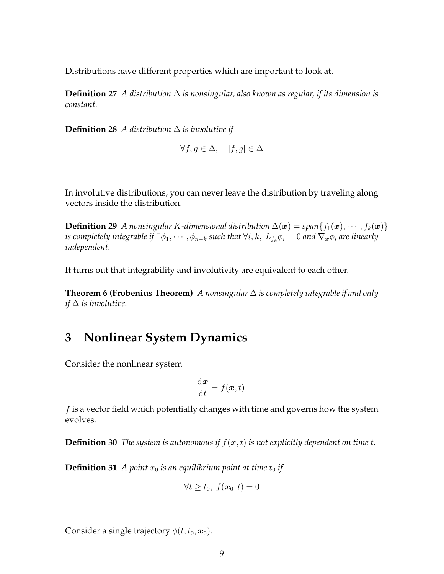Distributions have different properties which are important to look at.

**Definition 27** *A distribution* ∆ *is nonsingular, also known as regular, if its dimension is constant.*

**Definition 28** *A distribution* ∆ *is involutive if*

$$
\forall f, g \in \Delta, \quad [f, g] \in \Delta
$$

In involutive distributions, you can never leave the distribution by traveling along vectors inside the distribution.

**Definition 29** *A nonsingular K-dimensional distribution*  $\Delta(\boldsymbol{x}) = span\{f_1(\boldsymbol{x}), \cdots, f_k(\boldsymbol{x})\}$ *is completely integrable if*  $\exists \phi_1, \cdots, \phi_{n-k}$  *such that*  $\forall i, k, L_{f_k} \phi_i = 0$  *and*  $\nabla_x \phi_i$  *are linearly independent.*

It turns out that integrability and involutivity are equivalent to each other.

**Theorem 6 (Frobenius Theorem)** *A nonsingular* ∆ *is completely integrable if and only if* ∆ *is involutive.*

## <span id="page-8-0"></span>**3 Nonlinear System Dynamics**

Consider the nonlinear system

$$
\frac{\mathrm{d}\boldsymbol{x}}{\mathrm{d}t}=f(\boldsymbol{x},t).
$$

 $f$  is a vector field which potentially changes with time and governs how the system evolves.

**Definition 30** *The system is autonomous if*  $f(x, t)$  *is not explicitly dependent on time t.* 

**Definition 31** *A point*  $x_0$  *is an equilibrium point at time*  $t_0$  *if* 

$$
\forall t \ge t_0, \ f(\boldsymbol{x}_0, t) = 0
$$

Consider a single trajectory  $\phi(t, t_0, \mathbf{x}_0)$ .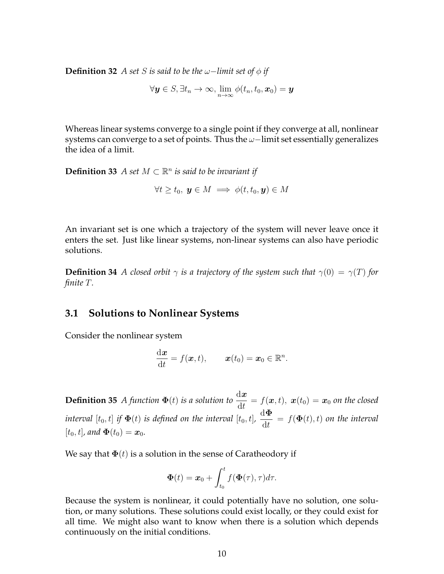**Definition 32** *A set S is said to be the*  $ω$ −*limit set of*  $ϕ$  *if* 

 $\forall \bm{y} \in S, \exists t_n \rightarrow \infty, \lim_{n \rightarrow \infty} \phi(t_n,t_0,\bm{x}_0) = \bm{y}$ 

Whereas linear systems converge to a single point if they converge at all, nonlinear systems can converge to a set of points. Thus the  $\omega$ −limit set essentially generalizes the idea of a limit.

**Definition 33** *A set*  $M \subset \mathbb{R}^n$  *is said to be invariant if* 

 $\forall t \geq t_0, y \in M \implies \phi(t, t_0, y) \in M$ 

An invariant set is one which a trajectory of the system will never leave once it enters the set. Just like linear systems, non-linear systems can also have periodic solutions.

**Definition 34** *A closed orbit*  $\gamma$  *is a trajectory of the system such that*  $\gamma(0) = \gamma(T)$  *for finite* T*.*

### <span id="page-9-0"></span>**3.1 Solutions to Nonlinear Systems**

Consider the nonlinear system

$$
\frac{\mathrm{d} \boldsymbol{x}}{\mathrm{d} t}=f(\boldsymbol{x},t), \qquad \boldsymbol{x}(t_0)=\boldsymbol{x}_0\in\mathbb{R}^n.
$$

**Definition 35** *A function*  $\Phi(t)$  *is a solution to*  $\frac{d\boldsymbol{x}}{dt} = f(\boldsymbol{x}, t)$ ,  $\boldsymbol{x}(t_0) = \boldsymbol{x}_0$  *on the closed*  $i$ nterval  $[t_0,t]$  if  $\boldsymbol{\Phi}(t)$  is defined on the interval  $[t_0,t]$ , dΦ  $\frac{d\mathbf{t}}{dt} = f(\mathbf{\Phi}(t), t)$  on the interval  $[t_0, t]$ *, and*  $\Phi(t_0) = x_0$ *.* 

We say that  $\Phi(t)$  is a solution in the sense of Caratheodory if

<span id="page-9-1"></span>
$$
\mathbf{\Phi}(t) = \boldsymbol{x}_0 + \int_{t_0}^t f(\mathbf{\Phi}(\tau), \tau) d\tau.
$$

Because the system is nonlinear, it could potentially have no solution, one solution, or many solutions. These solutions could exist locally, or they could exist for all time. We might also want to know when there is a solution which depends continuously on the initial conditions.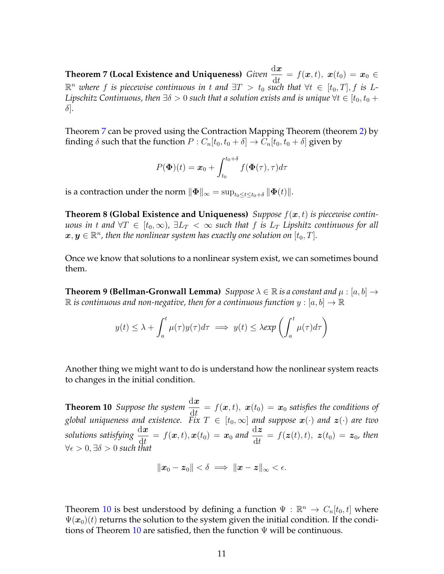**Theorem 7 (Local Existence and Uniqueness)** *Given*  $\frac{d\bm{x}}{dt} = f(\bm{x}, t)$ ,  $\bm{x}(t_0) = \bm{x}_0 \in \mathbb{R}$  $\mathbb{R}^n$  where f is piecewise continuous in t and  $\exists T > t_0$  such that  $\forall t \in [t_0, T], f$  is L-*Lipschitz Continuous, then*  $\exists \delta > 0$  *such that a solution exists and is unique*  $\forall t \in [t_0, t_0 + \delta]$ δ]*.*

Theorem [7](#page-9-1) can be proved using the Contraction Mapping Theorem (theorem [2\)](#page-4-1) by finding  $\delta$  such that the function  $P: C_n[t_0, t_0 + \delta] \rightarrow C_n[t_0, t_0 + \delta]$  given by

$$
P(\mathbf{\Phi})(t) = \mathbf{x}_0 + \int_{t_0}^{t_0 + \delta} f(\mathbf{\Phi}(\tau), \tau) d\tau
$$

is a contraction under the norm  $\|\mathbf{\Phi}\|_{\infty} = \sup_{t_0 \leq t \leq t_0+\delta} \|\mathbf{\Phi}(t)\|.$ 

**Theorem 8 (Global Existence and Uniqueness)** Suppose  $f(x, t)$  is piecewise contin*uous in* t and  $\forall T \in [t_0, \infty)$ ,  $\exists L_T < \infty$  such that f is  $L_T$  Lipshitz continuous for all  $\boldsymbol{x},\boldsymbol{y}\in\mathbb{R}^n$  , then the nonlinear system has exactly one solution on  $[t_0,T].$ 

Once we know that solutions to a nonlinear system exist, we can sometimes bound them.

**Theorem 9 (Bellman-Gronwall Lemma)** *Suppose*  $\lambda \in \mathbb{R}$  *is a constant and*  $\mu$  : [a, b]  $\rightarrow$  $\mathbb R$  is continuous and non-negative, then for a continuous function  $y:[a,b]\to\mathbb R$ 

<span id="page-10-0"></span>
$$
y(t) \leq \lambda + \int_{a}^{t} \mu(\tau) y(\tau) d\tau \implies y(t) \leq \lambda \exp\left(\int_{a}^{t} \mu(\tau) d\tau\right)
$$

Another thing we might want to do is understand how the nonlinear system reacts to changes in the initial condition.

**Theorem 10** *Suppose the system*  $\frac{d\boldsymbol{x}}{dt} = f(\boldsymbol{x}, t)$ ,  $\boldsymbol{x}(t_0) = \boldsymbol{x}_0$  *satisfies the conditions of global uniqueness and existence.* Fix  $T \in [t_0, \infty]$  and suppose  $\mathbf{x}(\cdot)$  and  $\mathbf{z}(\cdot)$  are two solutions satisfying  $\frac{d\bm{x}}{dt} = f(\bm{x}, t), \bm{x}(t_0) = \bm{x}_0$  and  $\frac{d\bm{z}}{dt} = f(\bm{z}(t), t), \ \bm{z}(t_0) = \bm{z}_0$ , then  $\forall \epsilon > 0, \exists \delta > 0$  such that

$$
\|\pmb{x}_0-\pmb{z}_0\|<\delta \implies \|\pmb{x}-\pmb{z}\|_\infty<\epsilon.
$$

Theorem [10](#page-10-0) is best understood by defining a function  $\Psi : \mathbb{R}^n \to C_n[t_0, t]$  where  $\Psi(\mathbf{x}_0)(t)$  returns the solution to the system given the initial condition. If the condi-tions of Theorem [10](#page-10-0) are satisfied, then the function  $\Psi$  will be continuous.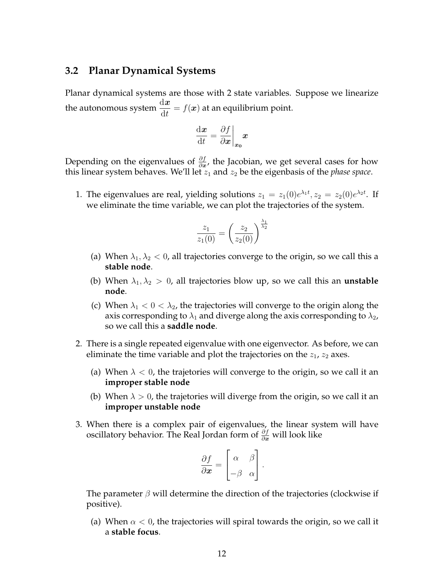### <span id="page-11-0"></span>**3.2 Planar Dynamical Systems**

Planar dynamical systems are those with 2 state variables. Suppose we linearize the autonomous system  $\frac{\mathrm{d} \boldsymbol{x}}{\mathrm{d} t} = f(\boldsymbol{x})$  at an equilibrium point.

$$
\frac{\mathrm{d}\boldsymbol{x}}{\mathrm{d}t} = \frac{\partial f}{\partial \boldsymbol{x}}\bigg|_{\boldsymbol{x_0}} \boldsymbol{x}
$$

Depending on the eigenvalues of  $\frac{\partial f}{\partial x}$ , the Jacobian, we get several cases for how this linear system behaves. We'll let  $z_1$  and  $z_2$  be the eigenbasis of the *phase space*.

1. The eigenvalues are real, yielding solutions  $z_1 = z_1(0)e^{\lambda_1 t}$ ,  $z_2 = z_2(0)e^{\lambda_2 t}$ . If we eliminate the time variable, we can plot the trajectories of the system.

$$
\frac{z_1}{z_1(0)} = \left(\frac{z_2}{z_2(0)}\right)^{\frac{\lambda_1}{\lambda_2}}
$$

- (a) When  $\lambda_1, \lambda_2 < 0$ , all trajectories converge to the origin, so we call this a **stable node**.
- (b) When  $\lambda_1, \lambda_2 > 0$ , all trajectories blow up, so we call this an **unstable node**.
- (c) When  $\lambda_1 < 0 < \lambda_2$ , the trajectories will converge to the origin along the axis corresponding to  $\lambda_1$  and diverge along the axis corresponding to  $\lambda_2$ , so we call this a **saddle node**.
- 2. There is a single repeated eigenvalue with one eigenvector. As before, we can eliminate the time variable and plot the trajectories on the  $z_1$ ,  $z_2$  axes.
	- (a) When  $\lambda < 0$ , the trajetories will converge to the origin, so we call it an **improper stable node**
	- (b) When  $\lambda > 0$ , the trajetories will diverge from the origin, so we call it an **improper unstable node**
- 3. When there is a complex pair of eigenvalues, the linear system will have oscillatory behavior. The Real Jordan form of  $\frac{\partial f}{\partial x}$  will look like

$$
\frac{\partial f}{\partial \boldsymbol{x}} = \begin{bmatrix} \alpha & \beta \\ -\beta & \alpha \end{bmatrix}.
$$

The parameter  $\beta$  will determine the direction of the trajectories (clockwise if positive).

(a) When  $\alpha < 0$ , the trajectories will spiral towards the origin, so we call it a **stable focus**.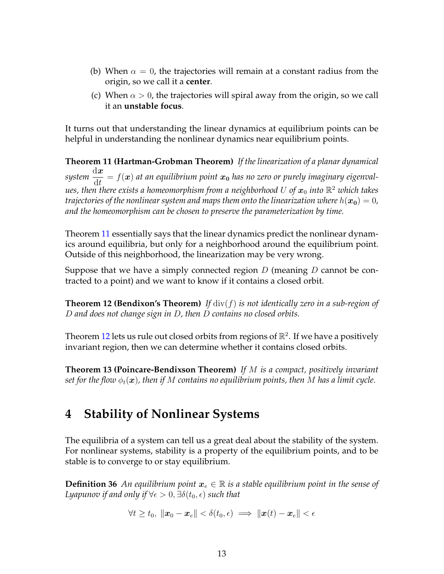- (b) When  $\alpha = 0$ , the trajectories will remain at a constant radius from the origin, so we call it a **center**.
- <span id="page-12-1"></span>(c) When  $\alpha > 0$ , the trajectories will spiral away from the origin, so we call it an **unstable focus**.

It turns out that understanding the linear dynamics at equilibrium points can be helpful in understanding the nonlinear dynamics near equilibrium points.

**Theorem 11 (Hartman-Grobman Theorem)** *If the linearization of a planar dynamical system*  $\mathrm{d}\bm{x}$  $\frac{d\mathbf{x}}{dt} = f(\mathbf{x})$  at an equilibrium point  $\mathbf{x}_0$  has no zero or purely imaginary eigenval $u$ es, then there exists a homeomorphism from a neighborhood  $U$  of  $\boldsymbol{x}_0$  into  $\mathbb{R}^2$  which takes *trajectories of the nonlinear system and maps them onto the linearization where*  $h(x_0) = 0$ , *and the homeomorphism can be chosen to preserve the parameterization by time.*

Theorem [11](#page-12-1) essentially says that the linear dynamics predict the nonlinear dynamics around equilibria, but only for a neighborhood around the equilibrium point. Outside of this neighborhood, the linearization may be very wrong.

<span id="page-12-2"></span>Suppose that we have a simply connected region  $D$  (meaning  $D$  cannot be contracted to a point) and we want to know if it contains a closed orbit.

**Theorem 12 (Bendixon's Theorem)** *If* div(f) *is not identically zero in a sub-region of* D *and does not change sign in* D*, then* D *contains no closed orbits.*

Theorem [12](#page-12-2) lets us rule out closed orbits from regions of  $\mathbb{R}^2$ . If we have a positively invariant region, then we can determine whether it contains closed orbits.

**Theorem 13 (Poincare-Bendixson Theorem)** *If* M *is a compact, positively invariant set for the flow*  $\phi_t(\mathbf{x})$ *, then if* M *contains no equilibrium points, then* M *has a limit cycle.* 

# <span id="page-12-0"></span>**4 Stability of Nonlinear Systems**

The equilibria of a system can tell us a great deal about the stability of the system. For nonlinear systems, stability is a property of the equilibrium points, and to be stable is to converge to or stay equilibrium.

**Definition 36** An equilibrium point  $x_e \in \mathbb{R}$  is a stable equilibrium point in the sense of *Lyapunov if and only if*  $\forall \epsilon > 0, \exists \delta(t_0, \epsilon)$  *such that* 

<span id="page-12-3"></span>
$$
\forall t \geq t_0, \| \boldsymbol{x}_0 - \boldsymbol{x}_e \| < \delta(t_0, \epsilon) \implies \| \boldsymbol{x}(t) - \boldsymbol{x}_e \| < \epsilon
$$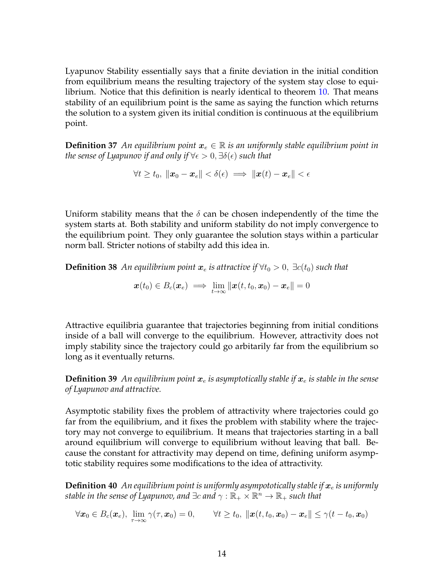Lyapunov Stability essentially says that a finite deviation in the initial condition from equilibrium means the resulting trajectory of the system stay close to equilibrium. Notice that this definition is nearly identical to theorem [10.](#page-10-0) That means stability of an equilibrium point is the same as saying the function which returns the solution to a system given its initial condition is continuous at the equilibrium point.

<span id="page-13-0"></span>**Definition 37** An equilibrium point  $x_e \in \mathbb{R}$  is an uniformly stable equilibrium point in *the sense of Lyapunov if and only if*  $\forall \epsilon > 0, \exists \delta(\epsilon)$  *such that* 

$$
\forall t \geq t_0, ~ \|\boldsymbol{x}_0 - \boldsymbol{x}_e\| < \delta(\epsilon) \implies \|\boldsymbol{x}(t) - \boldsymbol{x}_e\| < \epsilon
$$

Uniform stability means that the  $\delta$  can be chosen independently of the time the system starts at. Both stability and uniform stability do not imply convergence to the equilibrium point. They only guarantee the solution stays within a particular norm ball. Stricter notions of stabilty add this idea in.

**Definition 38** An equilibrium point  $x_e$  is attractive if  $\forall t_0 > 0$ ,  $\exists c(t_0)$  such that

<span id="page-13-1"></span>
$$
\boldsymbol{x}(t_0) \in B_c(\boldsymbol{x}_e) \implies \lim_{t \to \infty} \|\boldsymbol{x}(t,t_0,\boldsymbol{x}_0) - \boldsymbol{x}_e\| = 0
$$

Attractive equilibria guarantee that trajectories beginning from initial conditions inside of a ball will converge to the equilibrium. However, attractivity does not imply stability since the trajectory could go arbitarily far from the equilibrium so long as it eventually returns.

**Definition 39** An equilibrium point  $x_e$  is asymptotically stable if  $x_e$  is stable in the sense *of Lyapunov and attractive.*

Asymptotic stability fixes the problem of attractivity where trajectories could go far from the equilibrium, and it fixes the problem with stability where the trajectory may not converge to equilibrium. It means that trajectories starting in a ball around equilibrium will converge to equilibrium without leaving that ball. Because the constant for attractivity may depend on time, defining uniform asymptotic stability requires some modifications to the idea of attractivity.

**Definition 40** An equilibrium point is uniformly asympototically stable if  $x_e$  is uniformly stable in the sense of Lyapunov, and  $\exists c$  and  $\gamma: \mathbb{R}_+\times \mathbb{R}^n \to \mathbb{R}_+$  such that

$$
\forall \boldsymbol{x}_0 \in B_c(\boldsymbol{x}_e), ~\lim_{\tau \to \infty} \gamma(\tau, \boldsymbol{x}_0) = 0, \qquad \forall t \geq t_0, ~\|\boldsymbol{x}(t,t_0, \boldsymbol{x}_0) - \boldsymbol{x}_e\| \leq \gamma(t-t_0, \boldsymbol{x}_0)
$$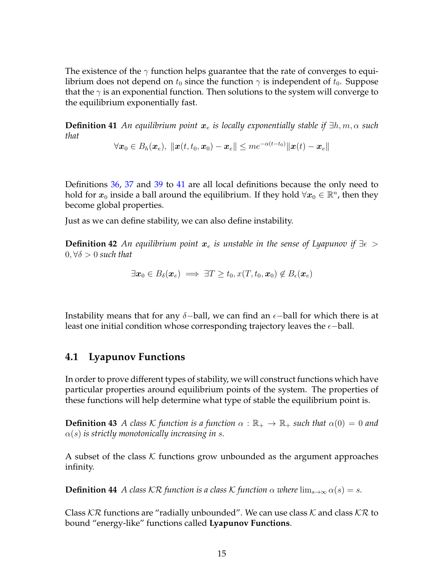The existence of the  $\gamma$  function helps guarantee that the rate of converges to equilibrium does not depend on  $t_0$  since the function  $\gamma$  is independent of  $t_0$ . Suppose that the  $\gamma$  is an exponential function. Then solutions to the system will converge to the equilibrium exponentially fast.

**Definition 41** An equilibrium point  $x_e$  is locally exponentially stable if  $\exists h, m, \alpha$  such *that*

<span id="page-14-1"></span> $\forall \boldsymbol{x}_0 \in B_h(\boldsymbol{x}_e),~ \|\boldsymbol{x}(t,t_0, \boldsymbol{x}_0) - \boldsymbol{x}_e\| \leq m e^{-\alpha(t-t_0)} \|\boldsymbol{x}(t) - \boldsymbol{x}_e\|$ 

Definitions [36,](#page-12-3) [37](#page-13-0) and [39](#page-13-1) to [41](#page-14-1) are all local definitions because the only need to hold for  $\bm{x}_{0}$  inside a ball around the equilibrium. If they hold  $\forall \bm{x}_{0} \in \mathbb{R}^{n}$ , then they become global properties.

Just as we can define stability, we can also define instability.

**Definition 42** *An equilibrium point*  $x_e$  *is unstable in the sense of Lyapunov if*  $\exists \epsilon$  >  $0, \forall \delta > 0$  *such that* 

 $\exists x_0 \in B_\delta(x_e) \implies \exists T \ge t_0, x(T, t_0, x_0) \notin B_\epsilon(x_e)$ 

Instability means that for any  $\delta$ -ball, we can find an  $\epsilon$ -ball for which there is at least one initial condition whose corresponding trajectory leaves the  $\epsilon$ -ball.

## <span id="page-14-0"></span>**4.1 Lyapunov Functions**

In order to prove different types of stability, we will construct functions which have particular properties around equilibrium points of the system. The properties of these functions will help determine what type of stable the equilibrium point is.

**Definition 43** *A class* K *function is a function*  $\alpha : \mathbb{R}_+ \to \mathbb{R}_+$  *such that*  $\alpha(0) = 0$  *and*  $\alpha(s)$  *is strictly monotonically increasing in s.* 

A subset of the class  $K$  functions grow unbounded as the argument approaches infinity.

**Definition 44** *A class*  $\mathcal{K}\mathcal{R}$  *function is a class*  $\mathcal{K}$  *function*  $\alpha$  *where*  $\lim_{s\to\infty} \alpha(s) = s$ .

<span id="page-14-2"></span>Class  $\mathcal{K}\mathcal{R}$  functions are "radially unbounded". We can use class  $\mathcal{K}$  and class  $\mathcal{K}\mathcal{R}$  to bound "energy-like" functions called **Lyapunov Functions**.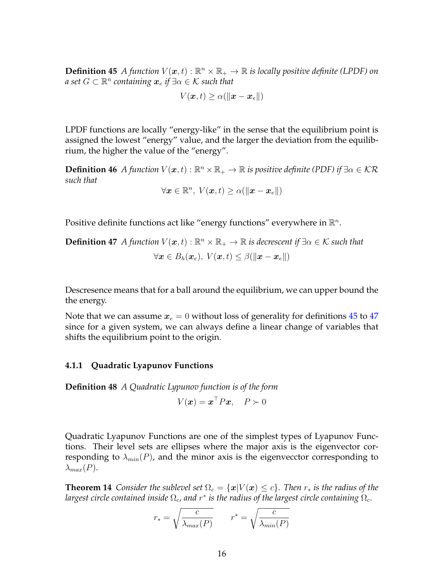**Definition 45** A function  $V(x,t): \mathbb{R}^n \times \mathbb{R}_+ \to \mathbb{R}$  is locally positive definite (LPDF) on  $a$  set  $G \subset \mathbb{R}^n$  containing  $\boldsymbol{x}_e$  if  $\exists \alpha \in \mathcal{K}$  such that

$$
V(\boldsymbol{x},t) \geq \alpha(\|\boldsymbol{x} - \boldsymbol{x}_e\|)
$$

LPDF functions are locally "energy-like" in the sense that the equilibrium point is assigned the lowest "energy" value, and the larger the deviation from the equilibrium, the higher the value of the "energy".

**Definition 46** *A function*  $V(x,t): \mathbb{R}^n \times \mathbb{R}_+ \to \mathbb{R}$  *is positive definite* (PDF) *if*  $\exists \alpha \in \mathcal{K}\mathcal{R}$ *such that*

<span id="page-15-1"></span>
$$
\forall \mathbf{x} \in \mathbb{R}^n, \ V(\mathbf{x}, t) \ge \alpha(\|\mathbf{x} - \mathbf{x}_e\|)
$$

Positive definite functions act like "energy functions" everywhere in  $\mathbb{R}^n$ .

**Definition 47** *A* function  $V(x,t): \mathbb{R}^n \times \mathbb{R}_+ \to \mathbb{R}$  is decrescent if  $\exists \alpha \in \mathcal{K}$  such that  $\forall x \in B_h(x_e), V(x,t) \leq \beta(||x - x_e||)$ 

Descresence means that for a ball around the equilibrium, we can upper bound the the energy.

Note that we can assume  $x_e = 0$  without loss of generality for definitions [45](#page-14-2) to [47](#page-15-1) since for a given system, we can always define a linear change of variables that shifts the equilibrium point to the origin.

#### <span id="page-15-0"></span>**4.1.1 Quadratic Lyapunov Functions**

**Definition 48** *A Quadratic Lypunov function is of the form*

$$
V(\boldsymbol{x}) = \boldsymbol{x}^\top P \boldsymbol{x}, \quad P \succ 0
$$

Quadratic Lyapunov Functions are one of the simplest types of Lyapunov Functions. Their level sets are ellipses where the major axis is the eigenvector corresponding to  $\lambda_{min}(P)$ , and the minor axis is the eigenvector corresponding to  $\lambda_{max}(P)$ .

**Theorem 14** *Consider the sublevel set*  $\Omega_c = \{x | V(x) \leq c\}$ *. Then*  $r_*$  *is the radius of the* largest circle contained inside  $\Omega_c$ , and  $r^*$  is the radius of the largest circle containing  $\Omega_c$ .

$$
r_* = \sqrt{\frac{c}{\lambda_{max}(P)}} \qquad r^* = \sqrt{\frac{c}{\lambda_{min}(P)}}
$$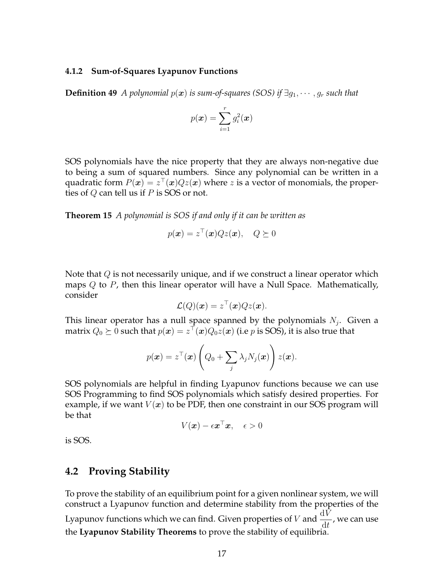#### <span id="page-16-0"></span>**4.1.2 Sum-of-Squares Lyapunov Functions**

**Definition 49** *A polynomial*  $p(x)$  *is sum-of-squares (SOS) if*  $\exists q_1, \dots, q_r$  *such that* 

$$
p(\boldsymbol{x}) = \sum_{i=1}^r g_i^2(\boldsymbol{x})
$$

SOS polynomials have the nice property that they are always non-negative due to being a sum of squared numbers. Since any polynomial can be written in a quadratic form  $P(x) = z^{\top}(x)Qz(x)$  where z is a vector of monomials, the properties of Q can tell us if P is SOS or not.

**Theorem 15** *A polynomial is SOS if and only if it can be written as*

$$
p(\boldsymbol{x}) = z^{\top}(\boldsymbol{x})Qz(\boldsymbol{x}), \quad Q \succeq 0
$$

Note that  $Q$  is not necessarily unique, and if we construct a linear operator which maps  $Q$  to  $P$ , then this linear operator will have a Null Space. Mathematically, consider

$$
\mathcal{L}(Q)(\boldsymbol{x}) = z^{\top}(\boldsymbol{x})Qz(\boldsymbol{x}).
$$

This linear operator has a null space spanned by the polynomials  $N_j$ . Given a matrix  $Q_0 \succeq 0$  such that  $p(\bm{x}) = z^\top(\bm{x})Q_0z(\bm{x})$  (i.e  $p$  is SOS), it is also true that

$$
p(\boldsymbol{x}) = z^{\top}(\boldsymbol{x}) \left(Q_0 + \sum_j \lambda_j N_j(\boldsymbol{x})\right) z(\boldsymbol{x}).
$$

SOS polynomials are helpful in finding Lyapunov functions because we can use SOS Programming to find SOS polynomials which satisfy desired properties. For example, if we want  $V(x)$  to be PDF, then one constraint in our SOS program will be that

<span id="page-16-2"></span>
$$
V(\boldsymbol{x}) - \epsilon \boldsymbol{x}^\top \boldsymbol{x}, \quad \epsilon > 0
$$

is SOS.

## <span id="page-16-1"></span>**4.2 Proving Stability**

To prove the stability of an equilibrium point for a given nonlinear system, we will construct a Lyapunov function and determine stability from the properties of the Lyapunov functions which we can find. Given properties of V and  $\frac{dV}{dt}$ , we can use the **Lyapunov Stability Theorems** to prove the stability of equilibria.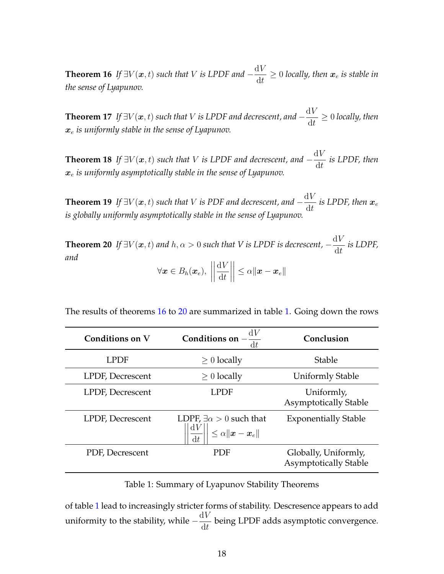**Theorem 16** *If*  $\exists V(\mathbf{x}, t)$  *such that V is LPDF and*  $-\frac{dV}{dt}$  $\frac{d\mathbf{v}}{dt} \geq 0$  *locally, then*  $\mathbf{x}_e$  *is stable in the sense of Lyapunov.*

**Theorem 17** *If*  $\exists V(\mathbf{x}, t)$  *such that V is LPDF and decrescent, and*  $-\frac{dV}{dt}$  $\frac{dV}{dt} \geq 0$  *locally, then*  $x_e$  *is uniformly stable in the sense of Lyapunov.* 

**Theorem 18** *If*  $\exists V(\boldsymbol{x},t)$  *such that V is LPDF and decrescent, and*  $-\frac{dV}{dt}$  $\frac{d\mathbf{r}}{dt}$  is LPDF, then x<sup>e</sup> *is uniformly asymptotically stable in the sense of Lyapunov.*

**Theorem 19** *If*  $\exists V(\boldsymbol{x}, t)$  such that V is PDF and decrescent, and  $-\frac{dV}{dV}$  $\frac{d\mathbf{r}}{dt}$  is LPDF, then  $\mathbf{x}_e$ *is globally uniformly asymptotically stable in the sense of Lyapunov.*

<span id="page-17-0"></span>**Theorem 20** *If*  $\exists V(\boldsymbol{x},t)$  and  $h, \alpha > 0$  such that V is LPDF is decrescent,  $-\frac{dV}{dA}$  $\frac{d}{dt}$  is LDPF, *and*

$$
\forall \boldsymbol{x} \in B_h(\boldsymbol{x}_e), \ \left\|\frac{\mathrm{d}V}{\mathrm{d}t}\right\| \leq \alpha \|\boldsymbol{x} - \boldsymbol{x}_e\|
$$

The results of theorems [16](#page-16-2) to [20](#page-17-0) are summarized in table [1.](#page-17-1) Going down the rows

<span id="page-17-1"></span>

| Conditions on V         | Conditions on<br>$\mathrm{d}t$                                                              | Conclusion                                           |
|-------------------------|---------------------------------------------------------------------------------------------|------------------------------------------------------|
| LPDF                    | $\geq 0$ locally                                                                            | <b>Stable</b>                                        |
| LPDF, Decrescent        | $\geq 0$ locally                                                                            | <b>Uniformly Stable</b>                              |
| <b>LPDF, Decrescent</b> | LPDF                                                                                        | Uniformly,<br><b>Asymptotically Stable</b>           |
| LPDF, Decrescent        | LDPF, $\exists \alpha > 0$ such that<br>$\leq \alpha \ \boldsymbol{x} - \boldsymbol{x}_e\ $ | <b>Exponentially Stable</b>                          |
| PDF, Decrescent         | <b>PDF</b>                                                                                  | Globally, Uniformly,<br><b>Asymptotically Stable</b> |

Table 1: Summary of Lyapunov Stability Theorems

of table [1](#page-17-1) lead to increasingly stricter forms of stability. Descresence appears to add uniformity to the stability, while  $-\frac{dV}{dt}$  $\frac{dV}{dt}$  being LPDF adds asymptotic convergence.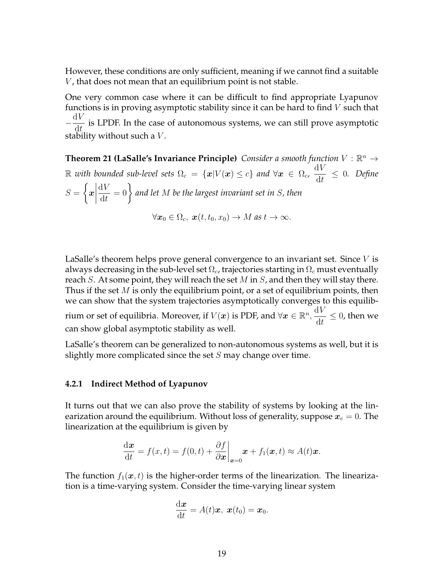However, these conditions are only sufficient, meaning if we cannot find a suitable  $V$ , that does not mean that an equilibrium point is not stable.

One very common case where it can be difficult to find appropriate Lyapunov functions is in proving asymptotic stability since it can be hard to find  $V$  such that  $-\frac{\mathrm{d}V}{\mathrm{d}u}$  $\frac{d\mathbf{r}}{dt}$  is LPDF. In the case of autonomous systems, we can still prove asymptotic stability without such a  $V$ .

**Theorem 21 (LaSalle's Invariance Principle)** *Consider a smooth function*  $V : \mathbb{R}^n \to$  $\mathbb R$  *with bounded sub-level sets*  $\Omega_c = \{ \bm{x} | V(\bm{x}) \leq c \}$  *and*  $\forall \bm{x} \in \Omega_c$ ,  $\frac{\text{d}V}{\text{d}t}$  $\frac{dV}{dt} \leq 0$ . Define  $S =$  $\int$  $\boldsymbol{x}$   $\mathrm{d}V$ dt = 0 *and let* M *be the largest invariant set in* S*, then*  $\forall x_0 \in \Omega_c, x(t, t_0, x_0) \to M$  *as*  $t \to \infty$ .

LaSalle's theorem helps prove general convergence to an invariant set. Since  $V$  is always decreasing in the sub-level set  $\Omega_c$ , trajectories starting in  $\Omega_c$  must eventually reach S. At some point, they will reach the set M in S, and then they will stay there. Thus if the set  $M$  is only the equilibrium point, or a set of equilibrium points, then we can show that the system trajectories asymptotically converges to this equilibrium or set of equilibria. Moreover, if  $V(\boldsymbol{x})$  is PDF, and  $\forall \boldsymbol{x} \in \mathbb{R}^n$ ,  $\mathrm{d}V$  $\frac{d\mathbf{r}}{dt} \leq 0$ , then we can show global asymptotic stability as well.

LaSalle's theorem can be generalized to non-autonomous systems as well, but it is slightly more complicated since the set  $S$  may change over time.

#### <span id="page-18-0"></span>**4.2.1 Indirect Method of Lyapunov**

It turns out that we can also prove the stability of systems by looking at the linearization around the equilibrium. Without loss of generality, suppose  $x_e = 0$ . The linearization at the equilibrium is given by

$$
\frac{\mathrm{d}\boldsymbol{x}}{\mathrm{d}t}=f(x,t)=f(0,t)+\frac{\partial f}{\partial \boldsymbol{x}}\bigg|_{\boldsymbol{x}=0}\boldsymbol{x}+f_1(\boldsymbol{x},t)\approx A(t)\boldsymbol{x}.
$$

The function  $f_1(x,t)$  is the higher-order terms of the linearization. The linearization is a time-varying system. Consider the time-varying linear system

$$
\frac{\mathrm{d}\boldsymbol{x}}{\mathrm{d}t}=A(t)\boldsymbol{x},\ \boldsymbol{x}(t_0)=\boldsymbol{x}_0.
$$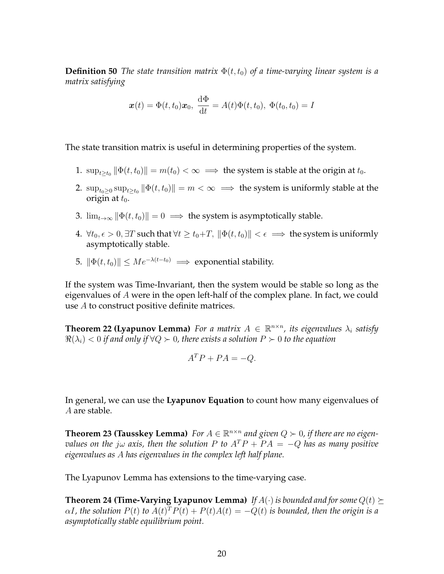**Definition 50** *The state transition matrix*  $\Phi(t, t_0)$  *of a time-varying linear system is a matrix satisfying*

$$
\boldsymbol{x}(t) = \Phi(t, t_0)\boldsymbol{x}_0, \ \frac{\mathrm{d}\Phi}{\mathrm{d}t} = A(t)\Phi(t, t_0), \ \Phi(t_0, t_0) = I
$$

The state transition matrix is useful in determining properties of the system.

- 1.  $\sup_{t\geq t_0} \|\Phi(t,t_0)\| = m(t_0) < \infty \implies$  the system is stable at the origin at  $t_0$ .
- 2.  $\sup_{t_0\geq0}\sup_{t\geq t_0} \|\Phi(t,t_0)\| = m < \infty \implies$  the system is uniformly stable at the origin at  $t_0$ .
- 3.  $\lim_{t\to\infty} \|\Phi(t, t_0)\| = 0 \implies$  the system is asymptotically stable.
- 4.  $\forall t_0, \epsilon > 0, \exists T$  such that  $\forall t \geq t_0 + T$ ,  $\|\Phi(t, t_0)\| < \epsilon \implies$  the system is uniformly asymptotically stable.
- 5.  $\|\Phi(t, t_0)\| \le Me^{-\lambda(t-t_0)} \implies$  exponential stability.

If the system was Time-Invariant, then the system would be stable so long as the eigenvalues of A were in the open left-half of the complex plane. In fact, we could use A to construct positive definite matrices.

**Theorem 22 (Lyapunov Lemma)** For a matrix  $A \in \mathbb{R}^{n \times n}$ , its eigenvalues  $\lambda_i$  satisfy  $\Re(\lambda_i) < 0$  *if and only if*  $\forall Q \succ 0$ , there exists a solution  $P \succ 0$  to the equation

$$
A^T P + P A = -Q.
$$

In general, we can use the **Lyapunov Equation** to count how many eigenvalues of A are stable.

**Theorem 23 (Tausskey Lemma)** For  $A \in \mathbb{R}^{n \times n}$  and given  $Q \succ 0$ , if there are no eigen*values on the j* $\omega$  *axis, then the solution* P to  $A^T P + P A = -Q$  has as many positive *eigenvalues as* A *has eigenvalues in the complex left half plane.*

The Lyapunov Lemma has extensions to the time-varying case.

**Theorem 24 (Time-Varying Lyapunov Lemma)** If  $A(\cdot)$  *is bounded and for some*  $Q(t) \succeq$  $\alpha I$ , the solution  $P(t)$  to  $A(t)^T P(t) + P(t) A(t) = -Q(t)$  is bounded, then the origin is a *asymptotically stable equilibrium point.*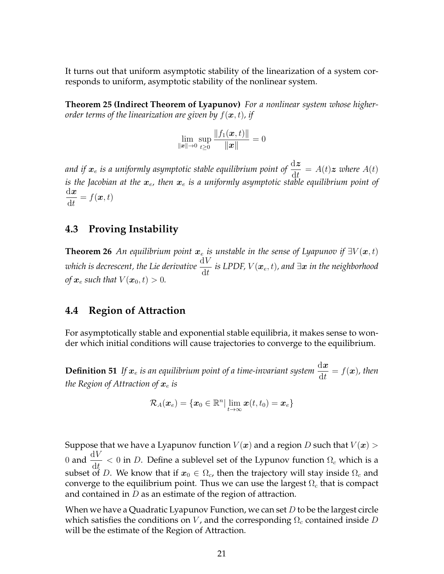It turns out that uniform asymptotic stability of the linearization of a system corresponds to uniform, asymptotic stability of the nonlinear system.

**Theorem 25 (Indirect Theorem of Lyapunov)** *For a nonlinear system whose higherorder terms of the linearization are given by*  $f(\boldsymbol{x}, t)$ *, if* 

$$
\lim_{\|\boldsymbol{x}\|\rightarrow 0}\sup_{t\geq 0}\frac{\|f_1(\boldsymbol{x},t)\|}{\|\boldsymbol{x}\|}=0
$$

and if  $\bm{x}_e$  is a uniformly asymptotic stable equilibrium point of  $\frac{\mathrm{d}\bm{z}}{\mathrm{d}t} = A(t)\bm{z}$  where  $A(t)$ *is the Jacobian at the*  $x_e$ , then  $x_e$  *is a uniformly asymptotic stable equilibrium point of*  $\mathrm{d}\bm{x}$ dt  $= f(\boldsymbol{x}, t)$ 

## <span id="page-20-0"></span>**4.3 Proving Instability**

**Theorem 26** *An equilibrium point*  $x_e$  *is unstable in the sense of Lyapunov if*  $\exists V(\mathbf{x}, t)$ *which is decrescent, the Lie derivative*  $\frac{\text{d}V}{\text{d}t}$  *is LPDF, V*( $\bm{x}_e$ ,  $t$ ), and ∃ $\bm{x}$  *in the neighborhood of*  $x_e$  *such that*  $V(x_0, t) > 0$ *.* 

## <span id="page-20-1"></span>**4.4 Region of Attraction**

For asymptotically stable and exponential stable equilibria, it makes sense to wonder which initial conditions will cause trajectories to converge to the equilibrium.

**Definition 51** If  $x_e$  is an equilibrium point of a time-invariant system  $\frac{dx}{dt} = f(x)$ , then *the Region of Attraction of*  $x_e$  *is* 

$$
\mathcal{R}_A(\boldsymbol{x}_e)=\{\boldsymbol{x}_0\in\mathbb{R}^n|\lim_{t\to\infty}\boldsymbol{x}(t,t_0)=\boldsymbol{x}_e\}
$$

Suppose that we have a Lyapunov function  $V(x)$  and a region D such that  $V(x)$ 0 and  $\frac{dV}{dt} < 0$  in D. Define a sublevel set of the Lypunov function  $\Omega_c$  which is a subset of D. We know that if  $x_0 \in \Omega_c$ , then the trajectory will stay inside  $\Omega_c$  and converge to the equilibrium point. Thus we can use the largest  $\Omega_c$  that is compact and contained in  $D$  as an estimate of the region of attraction.

When we have a Quadratic Lyapunov Function, we can set  $D$  to be the largest circle which satisfies the conditions on V, and the corresponding  $\Omega_c$  contained inside D will be the estimate of the Region of Attraction.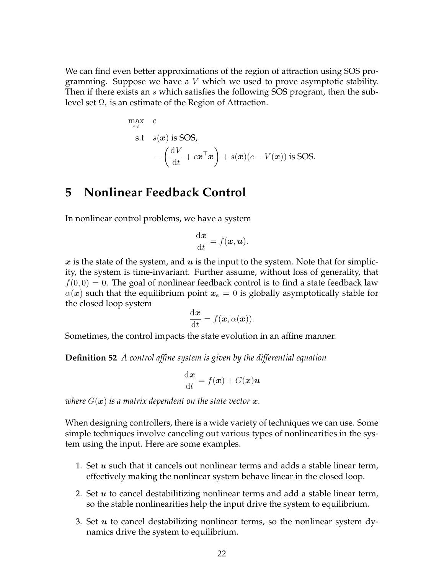We can find even better approximations of the region of attraction using SOS programming. Suppose we have a  $V$  which we used to prove asymptotic stability. Then if there exists an s which satisfies the following SOS program, then the sublevel set  $\Omega_c$  is an estimate of the Region of Attraction.

$$
\max_{c,s} c
$$
\n
$$
s.t \quad s(x) \text{ is SOS,}
$$
\n
$$
-\left(\frac{dV}{dt} + \epsilon x^{\top} x\right) + s(x)(c - V(x)) \text{ is SOS.}
$$

## <span id="page-21-0"></span>**5 Nonlinear Feedback Control**

In nonlinear control problems, we have a system

$$
\frac{\mathrm{d}\boldsymbol{x}}{\mathrm{d}t}=f(\boldsymbol{x},\boldsymbol{u}).
$$

x is the state of the system, and  $u$  is the input to the system. Note that for simplicity, the system is time-invariant. Further assume, without loss of generality, that  $f(0, 0) = 0$ . The goal of nonlinear feedback control is to find a state feedback law  $\alpha(x)$  such that the equilibrium point  $x_e = 0$  is globally asymptotically stable for the closed loop system

$$
\frac{\mathrm{d}\boldsymbol{x}}{\mathrm{d}t}=f(\boldsymbol{x},\alpha(\boldsymbol{x})).
$$

Sometimes, the control impacts the state evolution in an affine manner.

**Definition 52** *A control affine system is given by the differential equation*

$$
\frac{\mathrm{d}\boldsymbol{x}}{\mathrm{d}t} = f(\boldsymbol{x}) + G(\boldsymbol{x})\boldsymbol{u}
$$

*where*  $G(\boldsymbol{x})$  *is a matrix dependent on the state vector*  $\boldsymbol{x}$ *.* 

When designing controllers, there is a wide variety of techniques we can use. Some simple techniques involve canceling out various types of nonlinearities in the system using the input. Here are some examples.

- 1. Set  $u$  such that it cancels out nonlinear terms and adds a stable linear term, effectively making the nonlinear system behave linear in the closed loop.
- 2. Set  $u$  to cancel destabilitizing nonlinear terms and add a stable linear term, so the stable nonlinearities help the input drive the system to equilibrium.
- 3. Set  $u$  to cancel destabilizing nonlinear terms, so the nonlinear system dynamics drive the system to equilibrium.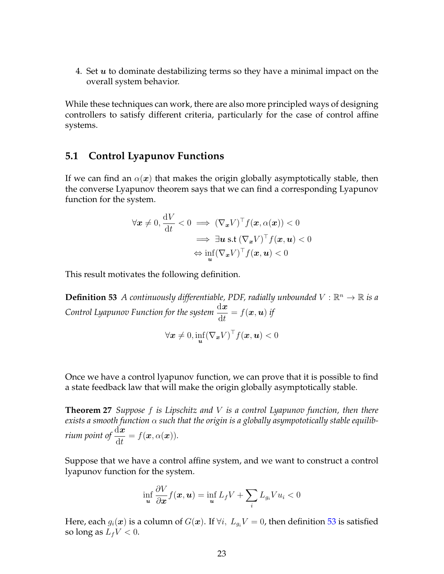4. Set  $u$  to dominate destabilizing terms so they have a minimal impact on the overall system behavior.

While these techniques can work, there are also more principled ways of designing controllers to satisfy different criteria, particularly for the case of control affine systems.

### <span id="page-22-0"></span>**5.1 Control Lyapunov Functions**

If we can find an  $\alpha(x)$  that makes the origin globally asymptotically stable, then the converse Lyapunov theorem says that we can find a corresponding Lyapunov function for the system.

$$
\forall \mathbf{x} \neq 0, \frac{\mathrm{d}V}{\mathrm{d}t} < 0 \implies (\nabla_{\mathbf{x}} V)^{\top} f(\mathbf{x}, \alpha(\mathbf{x})) < 0
$$
\n
$$
\implies \exists \mathbf{u} \text{ s.t } (\nabla_{\mathbf{x}} V)^{\top} f(\mathbf{x}, \mathbf{u}) < 0
$$
\n
$$
\Leftrightarrow \inf_{\mathbf{u}} (\nabla_{\mathbf{x}} V)^{\top} f(\mathbf{x}, \mathbf{u}) < 0
$$

This result motivates the following definition.

**Definition 53** A continuously differentiable, PDF, radially unbounded  $V : \mathbb{R}^n \to \mathbb{R}$  is a Control Lyapunov Function for the system  $\frac{\mathrm{d} \boldsymbol{x}}{\mathrm{d} t} = f(\boldsymbol{x},\boldsymbol{u})$  if

<span id="page-22-1"></span>
$$
\forall \pmb{x}\neq 0, \inf_{\pmb{u}} (\nabla_{\pmb{x}} V)^{\top}f(\pmb{x},\pmb{u})<0
$$

Once we have a control lyapunov function, we can prove that it is possible to find a state feedback law that will make the origin globally asymptotically stable.

**Theorem 27** *Suppose* f *is Lipschitz and* V *is a control Lyapunov function, then there exists a smooth function* α *such that the origin is a globally asympototically stable equilibrium point of*  $\frac{d\boldsymbol{x}}{dt} = f(\boldsymbol{x}, \alpha(\boldsymbol{x})).$ 

Suppose that we have a control affine system, and we want to construct a control lyapunov function for the system.

<span id="page-22-2"></span>
$$
\inf_{\boldsymbol{u}} \frac{\partial V}{\partial \boldsymbol{x}} f(\boldsymbol{x}, \boldsymbol{u}) = \inf_{\boldsymbol{u}} L_f V + \sum_i L_{g_i} V u_i < 0
$$

Here, each  $g_i(\mathbf{x})$  is a column of  $G(\mathbf{x})$ . If  $\forall i, L_{g_i}V = 0$ , then definition [53](#page-22-1) is satisfied so long as  $L_f V < 0$ .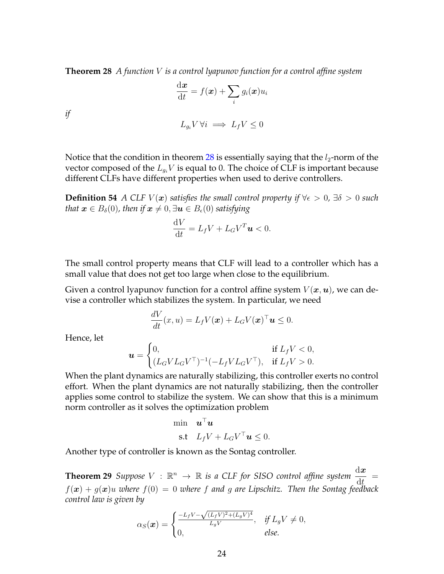**Theorem 28** *A function* V *is a control lyapunov function for a control affine system*

$$
\frac{\mathrm{d}\bm{x}}{\mathrm{d}t} = f(\bm{x}) + \sum_i g_i(\bm{x}) u_i
$$

*if*

$$
L_{g_i} V \,\forall i \implies L_f V \leq 0
$$

Notice that the condition in theorem [28](#page-22-2) is essentially saying that the  $l_2$ -norm of the vector composed of the  $L_{q_i}V$  is equal to 0. The choice of CLF is important because different CLFs have different properties when used to derive controllers.

**Definition 54** *A* CLF  $V(x)$  *satisfies the small control property if*  $\forall \epsilon > 0$ *,*  $\exists \delta > 0$  *such that*  $\mathbf{x} \in B_{\delta}(0)$ , then if  $\mathbf{x} \neq 0, \exists \mathbf{u} \in B_{\epsilon}(0)$  satisfying

$$
\frac{\mathrm{d}V}{\mathrm{d}t}=L_f V + L_G V^T \mathbf{u} < 0.
$$

The small control property means that CLF will lead to a controller which has a small value that does not get too large when close to the equilibrium.

Given a control lyapunov function for a control affine system  $V(\boldsymbol{x},\boldsymbol{u})$ , we can devise a controller which stabilizes the system. In particular, we need

$$
\frac{dV}{dt}(x,u) = L_f V(\boldsymbol{x}) + L_G V(\boldsymbol{x})^\top \boldsymbol{u} \leq 0.
$$

Hence, let

$$
\mathbf{u} = \begin{cases} 0, & \text{if } L_f V < 0, \\ (L_G V L_G V^\top)^{-1} (-L_f V L_G V^\top), & \text{if } L_f V > 0. \end{cases}
$$

When the plant dynamics are naturally stabilizing, this controller exerts no control effort. When the plant dynamics are not naturally stabilizing, then the controller applies some control to stabilize the system. We can show that this is a minimum norm controller as it solves the optimization problem

$$
\begin{aligned}\n\min & \quad \mathbf{u}^\top \mathbf{u} \\
\text{s.t} & \quad L_f V + L_G V^\top \mathbf{u} \le 0.\n\end{aligned}
$$

Another type of controller is known as the Sontag controller.

**Theorem 29** *Suppose*  $V : \mathbb{R}^n \to \mathbb{R}$  *is a CLF for SISO control affine system*  $\frac{dx}{dt}$ =  $f(x) + g(x)u$  where  $f(0) = 0$  where f and g are Lipschitz. Then the Sontag feedback *control law is given by*

$$
\alpha_S(\boldsymbol{x}) = \begin{cases} \frac{-L_f V - \sqrt{(L_f V)^2 + (L_g V)^4}}{L_g V}, & \text{if } L_g V \neq 0, \\ 0, & \text{else.} \end{cases}
$$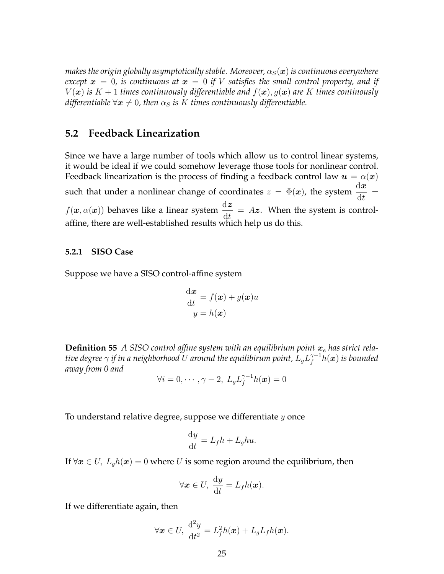*makes the origin globally asymptotically stable. Moreover,*  $\alpha_S(\boldsymbol{x})$  *is continuous everywhere except*  $\boldsymbol{x} = 0$ , is continuous at  $\boldsymbol{x} = 0$  if V satisfies the small control property, and if  $V(\boldsymbol{x})$  *is*  $K + 1$  *times continuously differentiable and*  $f(\boldsymbol{x}), g(\boldsymbol{x})$  *are* K *times continously*  $\textit{differentiable}\ \forall \boldsymbol{x}\neq 0$ , then  $\alpha_S$  is  $K$  times continuously differentiable.

## <span id="page-24-0"></span>**5.2 Feedback Linearization**

Since we have a large number of tools which allow us to control linear systems, it would be ideal if we could somehow leverage those tools for nonlinear control. Feedback linearization is the process of finding a feedback control law  $u = \alpha(x)$ such that under a nonlinear change of coordinates  $z = \Phi(x)$ , the system  $\frac{dx}{dt}$ =  $f(\mathbf{x}, \alpha(\mathbf{x}))$  behaves like a linear system  $\frac{d\mathbf{z}}{dt} = Az$ . When the system is controlaffine, there are well-established results which help us do this.

#### <span id="page-24-1"></span>**5.2.1 SISO Case**

Suppose we have a SISO control-affine system

$$
\frac{d\boldsymbol{x}}{dt} = f(\boldsymbol{x}) + g(\boldsymbol{x})u
$$

$$
y = h(\boldsymbol{x})
$$

**Definition 55** A SISO control affine system with an equilibrium point  $x_e$  has strict relative degree  $\gamma$  if in a neighborhood  $U$  around the equilibirum point,  $L_{g}L_{f}^{\gamma-1}h(\bm{x})$  is bounded *away from 0 and*

$$
\forall i=0,\cdots,\gamma-2,\ L_gL_f^{\gamma-1}h(\boldsymbol{x})=0
$$

To understand relative degree, suppose we differentiate  $y$  once

$$
\frac{\mathrm{d}y}{\mathrm{d}t} = L_f h + L_g h u.
$$

If  $\forall x \in U$ ,  $L_q h(x) = 0$  where U is some region around the equilibrium, then

$$
\forall \mathbf{x} \in U, \ \frac{\mathrm{d}y}{\mathrm{d}t} = L_f h(\mathbf{x}).
$$

If we differentiate again, then

$$
\forall \boldsymbol{x} \in U, \ \frac{\mathrm{d}^2 y}{\mathrm{d}t^2} = L_f^2 h(\boldsymbol{x}) + L_g L_f h(\boldsymbol{x}).
$$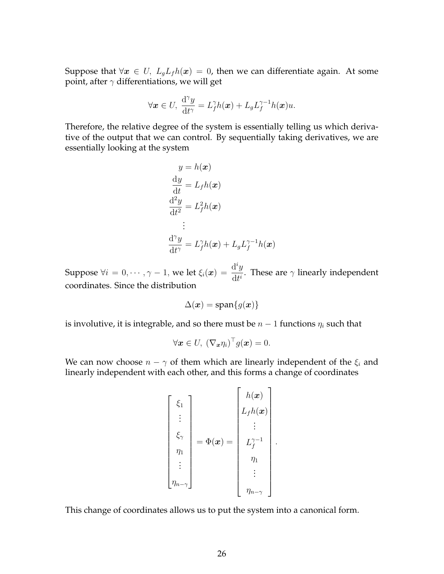Suppose that  $\forall x \in U$ ,  $L_qL_f h(x) = 0$ , then we can differentiate again. At some point, after  $\gamma$  differentiations, we will get

$$
\forall \boldsymbol{x} \in U, \ \frac{\mathrm{d}^{\gamma} y}{\mathrm{d} t^{\gamma}} = L_f^{\gamma} h(\boldsymbol{x}) + L_g L_f^{\gamma-1} h(\boldsymbol{x}) u.
$$

Therefore, the relative degree of the system is essentially telling us which derivative of the output that we can control. By sequentially taking derivatives, we are essentially looking at the system

$$
y = h(\boldsymbol{x})
$$
  
\n
$$
\frac{dy}{dt} = L_f h(\boldsymbol{x})
$$
  
\n
$$
\frac{d^2y}{dt^2} = L_f^2 h(\boldsymbol{x})
$$
  
\n:  
\n
$$
\frac{d^{\gamma}y}{dt^{\gamma}} = L_f^{\gamma} h(\boldsymbol{x}) + L_g L_f^{\gamma - 1} h(\boldsymbol{x})
$$

Suppose  $\forall i = 0, \cdots, \gamma - 1$ , we let  $\xi_i(\boldsymbol{x}) = \frac{\mathrm{d}^i y}{\mathrm{d} \boldsymbol{x}^i}$  $\frac{d^2 y}{dt^i}$ . These are  $\gamma$  linearly independent coordinates. Since the distribution

$$
\Delta(\boldsymbol{x}) = \mathrm{span}\{g(\boldsymbol{x})\}
$$

is involutive, it is integrable, and so there must be  $n-1$  functions  $\eta_i$  such that

$$
\forall \boldsymbol{x} \in U, \ (\nabla_{\boldsymbol{x}} \eta_i)^{\top} g(\boldsymbol{x}) = 0.
$$

We can now choose  $n - \gamma$  of them which are linearly independent of the  $\xi_i$  and linearly independent with each other, and this forms a change of coordinates

$$
\begin{bmatrix} \xi_1 \\ \vdots \\ \xi_\gamma \\ \eta_1 \\ \vdots \\ \eta_{n-\gamma} \end{bmatrix} = \Phi(\boldsymbol{x}) = \begin{bmatrix} h(\boldsymbol{x}) \\ L_f h(\boldsymbol{x}) \\ \vdots \\ L_f^{\gamma-1} \\ \eta_1 \\ \vdots \\ \eta_{n-\gamma} \end{bmatrix}.
$$

This change of coordinates allows us to put the system into a canonical form.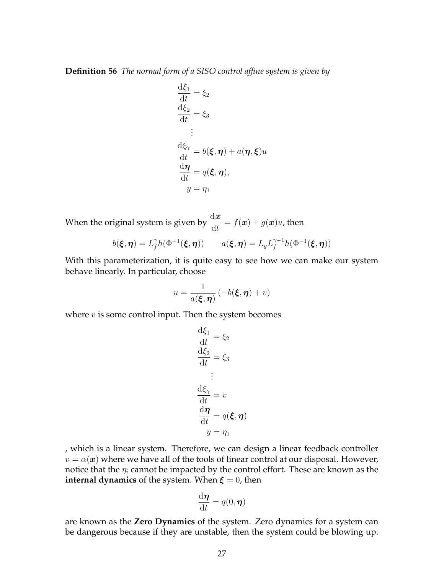**Definition 56** *The normal form of a SISO control affine system is given by*

$$
\frac{d\xi_1}{dt} = \xi_2
$$
  
\n
$$
\frac{d\xi_2}{dt} = \xi_3
$$
  
\n:  
\n
$$
\frac{d\xi_{\gamma}}{dt} = b(\xi, \eta) + a(\eta, \xi)u
$$
  
\n
$$
\frac{d\eta}{dt} = q(\xi, \eta),
$$
  
\n
$$
y = \eta_1
$$

When the original system is given by  $\frac{\mathrm{d}\boldsymbol{x}}{\mathrm{d}t} = f(\boldsymbol{x}) + g(\boldsymbol{x})u$ , then

$$
b(\xi, \eta) = L_f^{\gamma} h(\Phi^{-1}(\xi, \eta)) \qquad a(\xi, \eta) = L_g L_f^{\gamma - 1} h(\Phi^{-1}(\xi, \eta))
$$

With this parameterization, it is quite easy to see how we can make our system behave linearly. In particular, choose

$$
u = \frac{1}{a(\xi, \eta)} \left( -b(\xi, \eta) + v \right)
$$

where  $v$  is some control input. Then the system becomes

$$
\frac{d\xi_1}{dt} = \xi_2
$$
  

$$
\frac{d\xi_2}{dt} = \xi_3
$$
  

$$
\vdots
$$
  

$$
\frac{d\xi_\gamma}{dt} = v
$$
  

$$
\frac{d\eta}{dt} = q(\xi, \eta)
$$
  

$$
y = \eta_1
$$

, which is a linear system. Therefore, we can design a linear feedback controller  $v = \alpha(x)$  where we have all of the tools of linear control at our disposal. However, notice that the  $\eta_i$  cannot be impacted by the control effort. These are known as the **internal dynamics** of the system. When  $\xi = 0$ , then

$$
\frac{\mathrm{d}\boldsymbol{\eta}}{\mathrm{d}t} = q(0, \boldsymbol{\eta})
$$

are known as the **Zero Dynamics** of the system. Zero dynamics for a system can be dangerous because if they are unstable, then the system could be blowing up.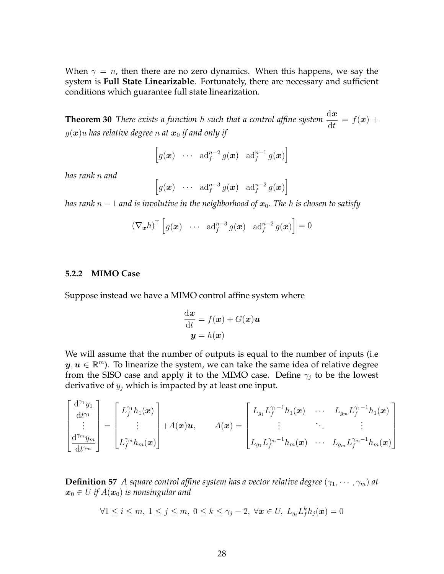When  $\gamma = n$ , then there are no zero dynamics. When this happens, we say the system is **Full State Linearizable**. Fortunately, there are necessary and sufficient conditions which guarantee full state linearization.

**Theorem 30** *There exists a function* h such that a control affine system  $\frac{dx}{dt}$  $= f(x) +$  $g(\boldsymbol{x})$ u has relative degree n at  $\boldsymbol{x}_0$  if and only if

<span id="page-27-1"></span>
$$
\left[g(\boldsymbol{x}) \quad \cdots \quad \mathrm{ad}_f^{n-2} g(\boldsymbol{x}) \quad \mathrm{ad}_f^{n-1} g(\boldsymbol{x})\right]
$$

*has rank* n *and*

$$
\left[g(\boldsymbol{x}) \quad \cdots \quad \mathrm{ad}_f^{n-3} g(\boldsymbol{x}) \quad \mathrm{ad}_f^{n-2} g(\boldsymbol{x})\right]
$$

*has rank*  $n - 1$  *and is involutive in the neighborhood of*  $x_0$ *. The h is chosen to satisfy* 

$$
(\nabla_{\boldsymbol{x}} h)^{\top} \left[ g(\boldsymbol{x}) \cdots \operatorname{ad}_f^{n-3} g(\boldsymbol{x}) \operatorname{ad}_f^{n-2} g(\boldsymbol{x}) \right] = 0
$$

#### <span id="page-27-0"></span>**5.2.2 MIMO Case**

Suppose instead we have a MIMO control affine system where

$$
\frac{\mathrm{d}\boldsymbol{x}}{\mathrm{d}t} = f(\boldsymbol{x}) + G(\boldsymbol{x})\boldsymbol{u}
$$

$$
\boldsymbol{y} = h(\boldsymbol{x})
$$

We will assume that the number of outputs is equal to the number of inputs (i.e  $y, u \in \mathbb{R}^m$ ). To linearize the system, we can take the same idea of relative degree from the SISO case and apply it to the MIMO case. Define  $\gamma_j$  to be the lowest derivative of  $y_j$  which is impacted by at least one input.

$$
\begin{bmatrix}\n\frac{\mathrm{d}^{\gamma_1} y_1}{\mathrm{d}t^{\gamma_1}} \\
\vdots \\
\frac{\mathrm{d}^{\gamma_m} y_m}{\mathrm{d}t^{\gamma_m}}\n\end{bmatrix} = \begin{bmatrix}\nL_f^{\gamma_1} h_1(\boldsymbol{x}) \\
\vdots \\
L_f^{\gamma_m} h_m(\boldsymbol{x})\n\end{bmatrix} + A(\boldsymbol{x}) \boldsymbol{u}, \qquad A(\boldsymbol{x}) = \begin{bmatrix}\nL_{g_1} L_f^{\gamma_1 - 1} h_1(\boldsymbol{x}) & \cdots & L_{g_m} L_f^{\gamma_1 - 1} h_1(\boldsymbol{x}) \\
\vdots & \ddots & \vdots \\
L_{g_1} L_f^{\gamma_m - 1} h_m(\boldsymbol{x}) & \cdots & L_{g_m} L_f^{\gamma_m - 1} h_m(\boldsymbol{x})\n\end{bmatrix}
$$

**Definition 57** *A square control affine system has a vector relative degree*  $(\gamma_1, \dots, \gamma_m)$  *at*  $x_0 \in U$  if  $A(x_0)$  is nonsingular and

$$
\forall 1 \leq i \leq m, \ 1 \leq j \leq m, \ 0 \leq k \leq \gamma_j - 2, \ \forall \boldsymbol{x} \in U, \ L_{g_i} L_f^k h_j(\boldsymbol{x}) = 0
$$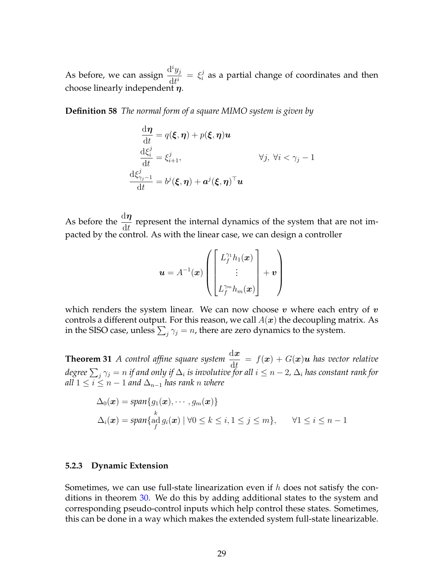As before, we can assign  $\frac{d^i y_j}{dt^i}$  $\frac{\mathrm{d} \ y_j}{\mathrm{d} t^i} \ = \ \xi_i^j$  $\frac{\sigma}{i}$  as a partial change of coordinates and then choose linearly independent  $\eta$ .

**Definition 58** *The normal form of a square MIMO system is given by*

$$
\frac{d\boldsymbol{\eta}}{dt} = q(\boldsymbol{\xi}, \boldsymbol{\eta}) + p(\boldsymbol{\xi}, \boldsymbol{\eta})\boldsymbol{u}
$$
\n
$$
\frac{d\xi_i^j}{dt} = \xi_{i+1}^j, \qquad \forall j, \forall i < \gamma_j - 1
$$
\n
$$
\frac{d\xi_{\gamma_j - 1}^j}{dt} = b^j(\boldsymbol{\xi}, \boldsymbol{\eta}) + \boldsymbol{a}^j(\boldsymbol{\xi}, \boldsymbol{\eta})^\top \boldsymbol{u}
$$

As before the  $\frac{d\eta}{dt}$  represent the internal dynamics of the system that are not impacted by the control. As with the linear case, we can design a controller

$$
\boldsymbol{u} = A^{-1}(\boldsymbol{x}) \left( \begin{bmatrix} L_f^{\gamma_1} h_1(\boldsymbol{x}) \\ \vdots \\ L_f^{\gamma_m} h_m(\boldsymbol{x}) \end{bmatrix} + \boldsymbol{v} \right)
$$

which renders the system linear. We can now choose  $v$  where each entry of  $v$ controls a different output. For this reason, we call  $A(x)$  the decoupling matrix. As in the SISO case, unless  $\sum_j \gamma_j = n$ , there are zero dynamics to the system.

**Theorem 31** *A control affine square system*  $\frac{dx}{dt} = f(x) + G(x)u$  *has vector relative* degree  $\sum_j \gamma_j = n$  if and only if  $\Delta_i$  is involutive for all  $i \leq n-2$ ,  $\Delta_i$  has constant rank for *all*  $1 \le i \le n-1$  *and*  $\Delta_{n-1}$  *has rank n where* 

$$
\Delta_0(\boldsymbol{x}) = \text{span}\{g_1(\boldsymbol{x}), \cdots, g_m(\boldsymbol{x})\}
$$
  

$$
\Delta_i(\boldsymbol{x}) = \text{span}\{\text{ad}_{f}^k g_i(\boldsymbol{x}) \mid \forall 0 \le k \le i, 1 \le j \le m\}, \qquad \forall 1 \le i \le n-1
$$

#### <span id="page-28-0"></span>**5.2.3 Dynamic Extension**

Sometimes, we can use full-state linearization even if  $h$  does not satisfy the con-ditions in theorem [30.](#page-27-1) We do this by adding additional states to the system and corresponding pseudo-control inputs which help control these states. Sometimes, this can be done in a way which makes the extended system full-state linearizable.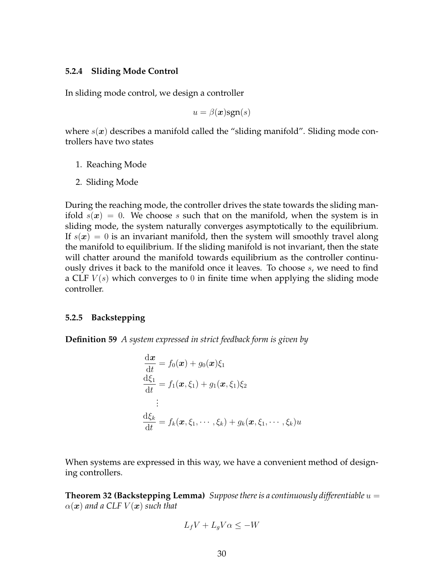#### <span id="page-29-0"></span>**5.2.4 Sliding Mode Control**

In sliding mode control, we design a controller

 $u = \beta(x)$ sgn $(s)$ 

where  $s(x)$  describes a manifold called the "sliding manifold". Sliding mode controllers have two states

- 1. Reaching Mode
- 2. Sliding Mode

During the reaching mode, the controller drives the state towards the sliding manifold  $s(x) = 0$ . We choose s such that on the manifold, when the system is in sliding mode, the system naturally converges asymptotically to the equilibrium. If  $s(x) = 0$  is an invariant manifold, then the system will smoothly travel along the manifold to equilibrium. If the sliding manifold is not invariant, then the state will chatter around the manifold towards equilibrium as the controller continuously drives it back to the manifold once it leaves. To choose s, we need to find a CLF  $V(s)$  which converges to 0 in finite time when applying the sliding mode controller.

#### <span id="page-29-1"></span>**5.2.5 Backstepping**

**Definition 59** *A system expressed in strict feedback form is given by*

$$
\frac{d\boldsymbol{x}}{dt} = f_0(\boldsymbol{x}) + g_0(\boldsymbol{x})\xi_1
$$
\n
$$
\frac{d\xi_1}{dt} = f_1(\boldsymbol{x}, \xi_1) + g_1(\boldsymbol{x}, \xi_1)\xi_2
$$
\n
$$
\vdots
$$
\n
$$
\frac{d\xi_k}{dt} = f_k(\boldsymbol{x}, \xi_1, \cdots, \xi_k) + g_k(\boldsymbol{x}, \xi_1, \cdots, \xi_k)u
$$

<span id="page-29-2"></span>When systems are expressed in this way, we have a convenient method of designing controllers.

**Theorem 32 (Backstepping Lemma)** *Suppose there is a continuously differentiable*  $u =$  $\alpha(\mathbf{x})$  and a CLF  $V(\mathbf{x})$  such that

$$
L_f V + L_g V \alpha \le -W
$$